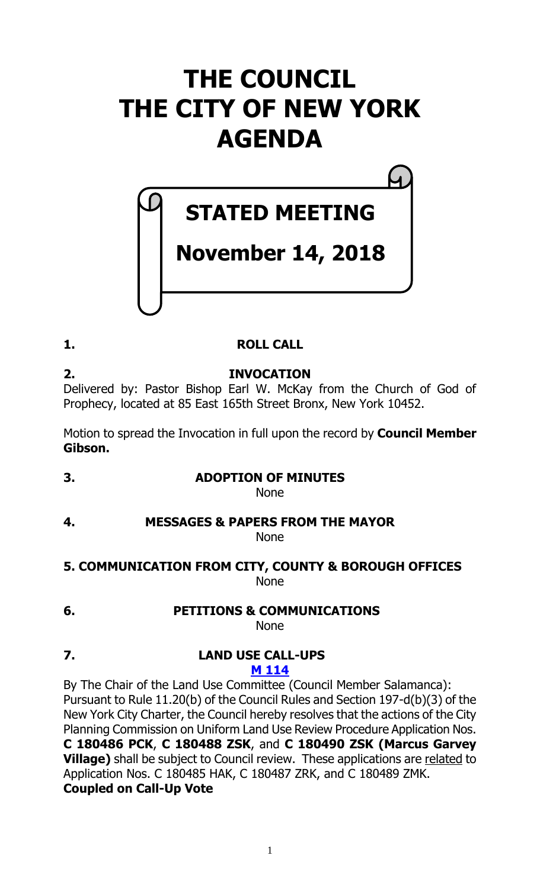# **THE COUNCIL THE CITY OF NEW YORK AGENDA**

# **STATED MEETING**

# **November 14, 2018**

# **1. ROLL CALL**

**2. INVOCATION** Delivered by: Pastor Bishop Earl W. McKay from the Church of God of Prophecy, located at 85 East 165th Street Bronx, New York 10452.

Motion to spread the Invocation in full upon the record by **Council Member Gibson.**

**3. ADOPTION OF MINUTES**

None

#### **4. MESSAGES & PAPERS FROM THE MAYOR** None

# **5. COMMUNICATION FROM CITY, COUNTY & BOROUGH OFFICES** None

**6. PETITIONS & COMMUNICATIONS**

None

**7. LAND USE CALL-UPS M [114](https://legistar.council.nyc.gov/LegislationDetail.aspx?ID=3753737&GUID=3D10633D-7BA4-4214-887C-3D82C3171B36&Options=ID|Text|&Search=)**

By The Chair of the Land Use Committee (Council Member Salamanca): Pursuant to Rule 11.20(b) of the Council Rules and Section 197-d(b)(3) of the New York City Charter, the Council hereby resolves that the actions of the City Planning Commission on Uniform Land Use Review Procedure Application Nos. **C 180486 PCK**, **C 180488 ZSK**, and **C 180490 ZSK (Marcus Garvey Village)** shall be subject to Council review. These applications are related to Application Nos. C 180485 HAK, C 180487 ZRK, and C 180489 ZMK. **Coupled on Call-Up Vote**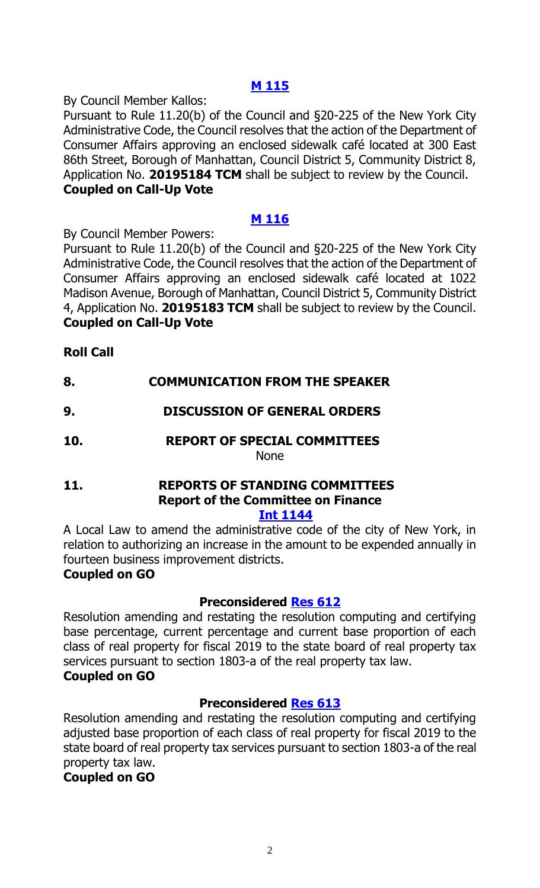# **M [115](https://legistar.council.nyc.gov/LegislationDetail.aspx?ID=3753738&GUID=A1EC433E-2C88-4D23-AD29-8B9928D60FF2&Options=ID|Text|&Search=)**

By Council Member Kallos:

Pursuant to Rule 11.20(b) of the Council and §20-225 of the New York City Administrative Code, the Council resolves that the action of the Department of Consumer Affairs approving an enclosed sidewalk café located at 300 East 86th Street, Borough of Manhattan, Council District 5, Community District 8, Application No. **20195184 TCM** shall be subject to review by the Council. **Coupled on Call-Up Vote**

# **M [116](https://legistar.council.nyc.gov/LegislationDetail.aspx?ID=3753739&GUID=7B7B7C14-A2A6-46E9-AD41-328052A8FFC3&Options=ID|Text|&Search=)**

By Council Member Powers:

Pursuant to Rule 11.20(b) of the Council and §20-225 of the New York City Administrative Code, the Council resolves that the action of the Department of Consumer Affairs approving an enclosed sidewalk café located at 1022 Madison Avenue, Borough of Manhattan, Council District 5, Community District 4, Application No. **20195183 TCM** shall be subject to review by the Council. **Coupled on Call-Up Vote**

# **Roll Call**

# **8. COMMUNICATION FROM THE SPEAKER**

- **9. DISCUSSION OF GENERAL ORDERS**
- **10. REPORT OF SPECIAL COMMITTEES** None

# **11. REPORTS OF STANDING COMMITTEES Report of the Committee on Finance**

**Int [1144](https://legistar.council.nyc.gov/LegislationDetail.aspx?ID=3704325&GUID=B3CEC137-346D-4EF9-B1D2-8FA391EE0D11&Options=ID%7cText%7c&Search=1144)**

A Local Law to amend the administrative code of the city of New York, in relation to authorizing an increase in the amount to be expended annually in fourteen business improvement districts.

# **Coupled on GO**

# **Preconsidered [Res](https://legistar.council.nyc.gov/LegislationDetail.aspx?ID=3725357&GUID=28944458-CAA1-440D-99E1-D0396C524CAD&Options=ID|&Search=) 612**

Resolution amending and restating the resolution computing and certifying base percentage, current percentage and current base proportion of each class of real property for fiscal 2019 to the state board of real property tax services pursuant to section 1803-a of the real property tax law. **Coupled on GO**

# **Preconsidered [Res](https://legistar.council.nyc.gov/LegislationDetail.aspx?ID=3725358&GUID=5C4BCFF7-5AAD-4F57-AC01-8082071E6F9A&Options=ID|&Search=) 613**

Resolution amending and restating the resolution computing and certifying adjusted base proportion of each class of real property for fiscal 2019 to the state board of real property tax services pursuant to section 1803-a of the real property tax law.

# **Coupled on GO**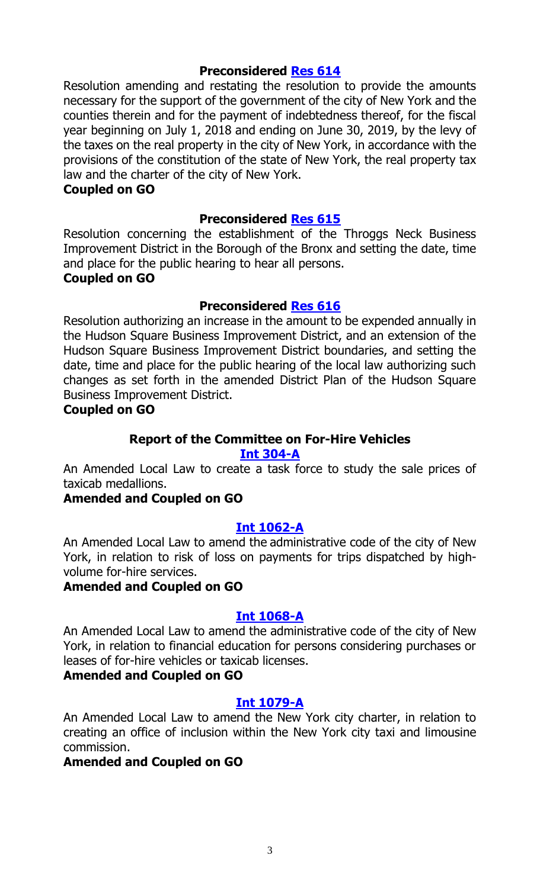# **Preconsidered [Res](https://legistar.council.nyc.gov/LegislationDetail.aspx?ID=3725359&GUID=650B3B80-7161-4818-B155-D78CE341C9A7&Options=ID|&Search=) 614**

Resolution amending and restating the resolution to provide the amounts necessary for the support of the government of the city of New York and the counties therein and for the payment of indebtedness thereof, for the fiscal year beginning on July 1, 2018 and ending on June 30, 2019, by the levy of the taxes on the real property in the city of New York, in accordance with the provisions of the constitution of the state of New York, the real property tax law and the charter of the city of New York.

#### **Coupled on GO**

#### **Preconsidered [Res](https://legistar.council.nyc.gov/LegislationDetail.aspx?ID=3725391&GUID=68F15594-5F54-40A8-B811-F60B007E5F25&Options=ID|&Search=) 615**

Resolution concerning the establishment of the Throggs Neck Business Improvement District in the Borough of the Bronx and setting the date, time and place for the public hearing to hear all persons. **Coupled on GO**

#### **Preconsidered [Res](https://legistar.council.nyc.gov/LegislationDetail.aspx?ID=3725390&GUID=7B10B456-136D-44CD-A9B2-5F45A9F846ED&Options=ID|&Search=) 616**

Resolution authorizing an increase in the amount to be expended annually in the Hudson Square Business Improvement District, and an extension of the Hudson Square Business Improvement District boundaries, and setting the date, time and place for the public hearing of the local law authorizing such changes as set forth in the amended District Plan of the Hudson Square Business Improvement District.

#### **Coupled on GO**

# **Report of the Committee on For-Hire Vehicles**

# **Int [304-A](https://legistar.council.nyc.gov/LegislationDetail.aspx?ID=3332232&GUID=6F016B74-AE6A-4431-9081-95703DD685FF&Options=Advanced&Search=)**

An Amended Local Law to create a task force to study the sale prices of taxicab medallions.

#### **Amended and Coupled on GO**

# **[Int 1062-A](https://legistar.council.nyc.gov/LegislationDetail.aspx?ID=3597665&GUID=8EB5A3E1-9B81-446E-B42B-4212F4903F54&Options=Advanced&Search=)**

An Amended Local Law to amend the administrative code of the city of New York, in relation to risk of loss on payments for trips dispatched by highvolume for-hire services.

#### **Amended and Coupled on GO**

#### **Int [1068-A](https://legistar.council.nyc.gov/LegislationDetail.aspx?ID=3597762&GUID=54A7F213-7AA5-4916-9796-36072EE61A09&Options=Advanced&Search=)**

An Amended Local Law to amend the administrative code of the city of New York, in relation to financial education for persons considering purchases or leases of for-hire vehicles or taxicab licenses.

#### **Amended and Coupled on GO**

#### **Int [1079-A](https://legistar.council.nyc.gov/LegislationDetail.aspx?ID=3597769&GUID=F2D2B75E-E914-4557-A809-EF6EF214A76B&Options=Advanced&Search=)**

An Amended Local Law to amend the New York city charter, in relation to creating an office of inclusion within the New York city taxi and limousine commission.

#### **Amended and Coupled on GO**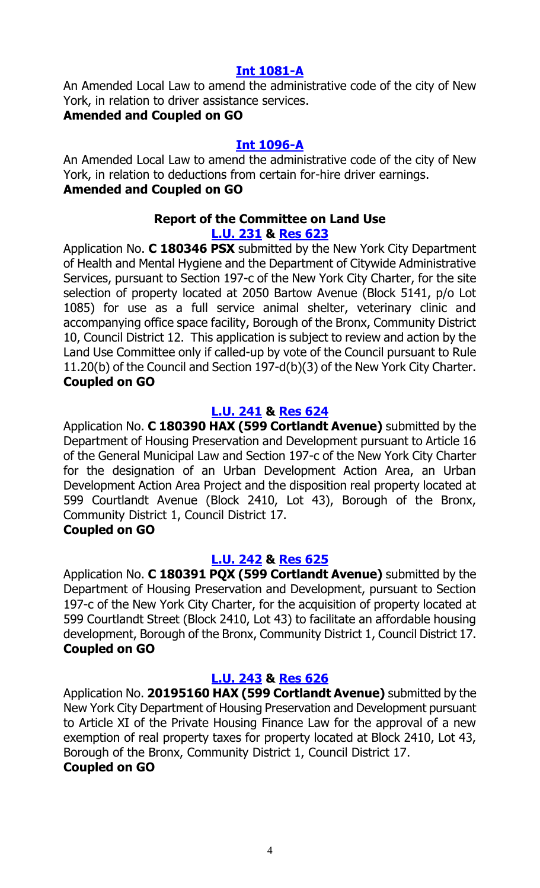#### **Int [1081-A](https://legistar.council.nyc.gov/LegislationDetail.aspx?ID=3597767&GUID=131385E4-0F96-47A4-AFA6-F25E95117D38&Options=Advanced&Search=)**

An Amended Local Law to amend the administrative code of the city of New York, in relation to driver assistance services.

# **Amended and Coupled on GO**

# **Int [1096-A](https://legistar.council.nyc.gov/LegislationDetail.aspx?ID=3673408&GUID=FA25D4A8-F33D-4FAF-AB12-ECE0F78C9027&Options=Advanced&Search=)**

An Amended Local Law to amend the administrative code of the city of New York, in relation to deductions from certain for-hire driver earnings. **Amended and Coupled on GO**

#### **Report of the Committee on Land Use [L.U. 231](https://legistar.council.nyc.gov/LegislationDetail.aspx?ID=3685414&GUID=C1D01AAF-29F5-496A-B46E-D69007FFC2C3&Options=Advanced&Search=) & [Res](https://legistar.council.nyc.gov/LegislationDetail.aspx?ID=3719328&GUID=6B463D61-0040-4A5D-8FAA-4693881BEA64&Options=ID%7c&Search=) 623**

Application No. **C 180346 PSX** submitted by the New York City Department of Health and Mental Hygiene and the Department of Citywide Administrative Services, pursuant to Section 197-c of the New York City Charter, for the site selection of property located at 2050 Bartow Avenue (Block 5141, p/o Lot 1085) for use as a full service animal shelter, veterinary clinic and accompanying office space facility, Borough of the Bronx, Community District 10, Council District 12. This application is subject to review and action by the Land Use Committee only if called-up by vote of the Council pursuant to Rule 11.20(b) of the Council and Section 197-d(b)(3) of the New York City Charter. **Coupled on GO**

# **[L.U. 241](https://legistar.council.nyc.gov/LegislationDetail.aspx?ID=3704395&GUID=3CE2DA36-9CDE-4D06-84F6-C8A57DA0655F&Options=Advanced&Search=) & [Res](https://legistar.council.nyc.gov/LegislationDetail.aspx?ID=3719293&GUID=8E41CC24-54CF-4585-A961-BADFA46B7F03&Options=ID|&Search=) 624**

Application No. **C 180390 HAX (599 Cortlandt Avenue)** submitted by the Department of Housing Preservation and Development pursuant to Article 16 of the General Municipal Law and Section 197-c of the New York City Charter for the designation of an Urban Development Action Area, an Urban Development Action Area Project and the disposition real property located at 599 Courtlandt Avenue (Block 2410, Lot 43), Borough of the Bronx, Community District 1, Council District 17.

# **Coupled on GO**

# **[L.U. 242](https://legistar.council.nyc.gov/LegislationDetail.aspx?ID=3704396&GUID=BF6C3A6A-10FA-4B42-8FB5-3FE5022B71DF&Options=Advanced&Search=) & [Res](https://legistar.council.nyc.gov/LegislationDetail.aspx?ID=3719294&GUID=7DBB36E8-4BF3-4413-BAB4-89F5D4AC6F07&Options=ID|&Search=) 625**

Application No. **C 180391 PQX (599 Cortlandt Avenue)** submitted by the Department of Housing Preservation and Development, pursuant to Section 197-c of the New York City Charter, for the acquisition of property located at 599 Courtlandt Street (Block 2410, Lot 43) to facilitate an affordable housing development, Borough of the Bronx, Community District 1, Council District 17. **Coupled on GO**

# **[L.U. 243](https://legistar.council.nyc.gov/LegislationDetail.aspx?ID=3704397&GUID=44111CCB-BEC5-4AD3-8452-900E4381FFB3&Options=Advanced&Search=) & [Res](https://legistar.council.nyc.gov/LegislationDetail.aspx?ID=3719295&GUID=F8D9567A-6225-4DD1-A640-9A3C7C583A88&Options=ID|&Search=) 626**

Application No. **20195160 HAX (599 Cortlandt Avenue)** submitted by the New York City Department of Housing Preservation and Development pursuant to Article XI of the Private Housing Finance Law for the approval of a new exemption of real property taxes for property located at Block 2410, Lot 43, Borough of the Bronx, Community District 1, Council District 17.

# **Coupled on GO**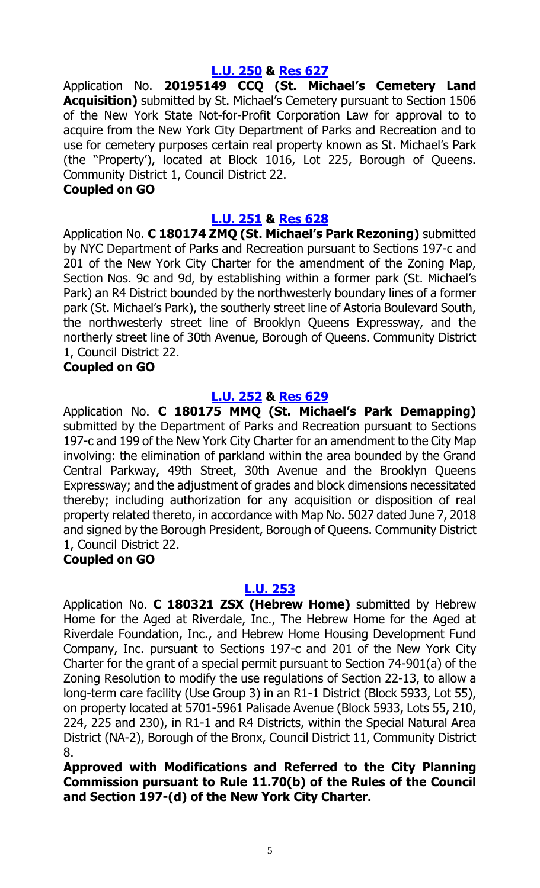# **[L.U. 250](https://legistar.council.nyc.gov/LegislationDetail.aspx?ID=3704387&GUID=48FAADEB-3F0E-4670-9528-622FBDD48E9D&Options=Advanced&Search=) & [Res](https://legistar.council.nyc.gov/LegislationDetail.aspx?ID=3719296&GUID=12840F0E-7941-4C53-897B-B3EDA25D3666&Options=ID|&Search=) 627**

Application No. **20195149 CCQ (St. Michael's Cemetery Land Acquisition)** submitted by St. Michael's Cemetery pursuant to Section 1506 of the New York State Not-for-Profit Corporation Law for approval to to acquire from the New York City Department of Parks and Recreation and to use for cemetery purposes certain real property known as St. Michael's Park (the "Property'), located at Block 1016, Lot 225, Borough of Queens. Community District 1, Council District 22.

#### **Coupled on GO**

#### **[L.U. 251](https://legistar.council.nyc.gov/LegislationDetail.aspx?ID=3704388&GUID=5407CFA4-8644-4C9D-9DE0-C20ED4BB7707&Options=Advanced&Search=) & [Res](https://legistar.council.nyc.gov/LegislationDetail.aspx?ID=3719297&GUID=90F14C9F-F520-487B-B5D4-54BEB4151BE6&Options=ID|&Search=) 628**

Application No. **C 180174 ZMQ (St. Michael's Park Rezoning)** submitted by NYC Department of Parks and Recreation pursuant to Sections 197-c and 201 of the New York City Charter for the amendment of the Zoning Map, Section Nos. 9c and 9d, by establishing within a former park (St. Michael's Park) an R4 District bounded by the northwesterly boundary lines of a former park (St. Michael's Park), the southerly street line of Astoria Boulevard South, the northwesterly street line of Brooklyn Queens Expressway, and the northerly street line of 30th Avenue, Borough of Queens. Community District 1, Council District 22.

#### **Coupled on GO**

#### **[L.U. 252](https://legistar.council.nyc.gov/LegislationDetail.aspx?ID=3704389&GUID=FA4D6986-D609-41C4-AAC5-803490FF0A49&Options=Advanced&Search=) & [Res](https://legistar.council.nyc.gov/LegislationDetail.aspx?ID=3719325&GUID=ADDE9211-D208-4D35-B908-D0401359A518&Options=ID|&Search=) 629**

Application No. **C 180175 MMQ (St. Michael's Park Demapping)** submitted by the Department of Parks and Recreation pursuant to Sections 197-c and 199 of the New York City Charter for an amendment to the City Map involving: the elimination of parkland within the area bounded by the Grand Central Parkway, 49th Street, 30th Avenue and the Brooklyn Queens Expressway; and the adjustment of grades and block dimensions necessitated thereby; including authorization for any acquisition or disposition of real property related thereto, in accordance with Map No. 5027 dated June 7, 2018 and signed by the Borough President, Borough of Queens. Community District 1, Council District 22.

#### **Coupled on GO**

#### **[L.U. 253](https://legistar.council.nyc.gov/LegislationDetail.aspx?ID=3704390&GUID=52956849-3217-4B44-AB0B-DD3D089A965B&Options=Advanced&Search=)**

Application No. **C 180321 ZSX (Hebrew Home)** submitted by Hebrew Home for the Aged at Riverdale, Inc., The Hebrew Home for the Aged at Riverdale Foundation, Inc., and Hebrew Home Housing Development Fund Company, Inc. pursuant to Sections 197-c and 201 of the New York City Charter for the grant of a special permit pursuant to Section 74-901(a) of the Zoning Resolution to modify the use regulations of Section 22-13, to allow a long-term care facility (Use Group 3) in an R1-1 District (Block 5933, Lot 55), on property located at 5701-5961 Palisade Avenue (Block 5933, Lots 55, 210, 224, 225 and 230), in R1-1 and R4 Districts, within the Special Natural Area District (NA-2), Borough of the Bronx, Council District 11, Community District 8.

**Approved with Modifications and Referred to the City Planning Commission pursuant to Rule 11.70(b) of the Rules of the Council and Section 197-(d) of the New York City Charter.**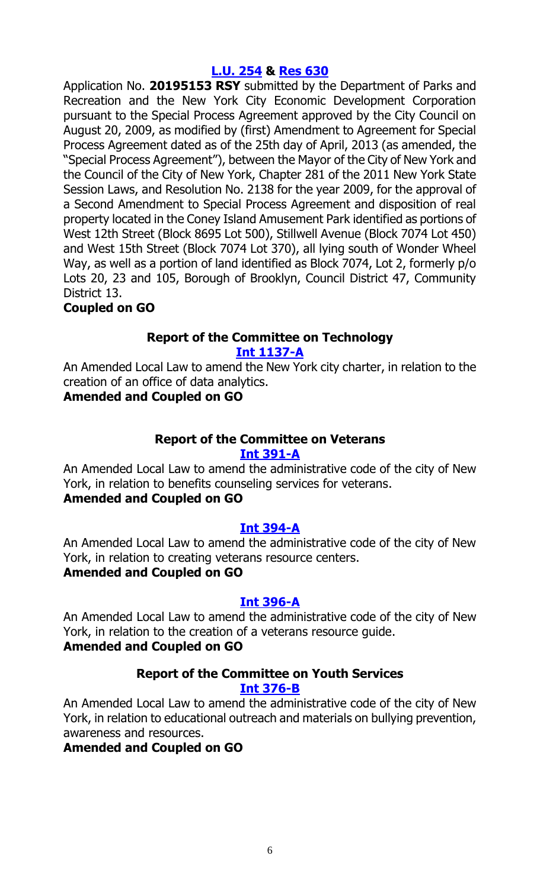# **[L.U. 254](https://legistar.council.nyc.gov/LegislationDetail.aspx?ID=3704391&GUID=898C1F2F-9DE1-41F2-B28C-C5DF9BA1202E&Options=Advanced&Search=) & [Res](https://legistar.council.nyc.gov/LegislationDetail.aspx?ID=3719327&GUID=6CAC92B0-8D0D-4A49-9842-1AA377C7B755&Options=ID|&Search=) 630**

Application No. **20195153 RSY** submitted by the Department of Parks and Recreation and the New York City Economic Development Corporation pursuant to the Special Process Agreement approved by the City Council on August 20, 2009, as modified by (first) Amendment to Agreement for Special Process Agreement dated as of the 25th day of April, 2013 (as amended, the "Special Process Agreement"), between the Mayor of the City of New York and the Council of the City of New York, Chapter 281 of the 2011 New York State Session Laws, and Resolution No. 2138 for the year 2009, for the approval of a Second Amendment to Special Process Agreement and disposition of real property located in the Coney Island Amusement Park identified as portions of West 12th Street (Block 8695 Lot 500), Stillwell Avenue (Block 7074 Lot 450) and West 15th Street (Block 7074 Lot 370), all lying south of Wonder Wheel Way, as well as a portion of land identified as Block 7074, Lot 2, formerly p/o Lots 20, 23 and 105, Borough of Brooklyn, Council District 47, Community District 13.

**Coupled on GO**

#### **Report of the Committee on Technology Int [1137-A](https://legistar.council.nyc.gov/LegislationDetail.aspx?ID=3700218&GUID=A6DF2849-07C4-46D1-B1DB-27C69E989808&Options=Advanced&Search=)**

An Amended Local Law to amend the New York city charter, in relation to the creation of an office of data analytics.

# **Amended and Coupled on GO**

# **Report of the Committee on Veterans**

# **Int [391-A](https://legistar.council.nyc.gov/LegislationDetail.aspx?ID=3332147&GUID=21226F82-031E-4408-A0FE-4C554E7268E4&Options=Advanced&Search=)**

An Amended Local Law to amend the administrative code of the city of New York, in relation to benefits counseling services for veterans.

# **Amended and Coupled on GO**

# **Int [394-A](https://legistar.council.nyc.gov/LegislationDetail.aspx?ID=3332196&GUID=F4951EB7-C24C-498E-A060-2D4552849EB7&Options=Advanced&Search=)**

An Amended Local Law to amend the administrative code of the city of New York, in relation to creating veterans resource centers.

# **Amended and Coupled on GO**

# **Int [396-A](https://legistar.council.nyc.gov/LegislationDetail.aspx?ID=3332200&GUID=FF21DB40-40B7-46AD-9BDE-7A057587D2FF&Options=Advanced&Search=)**

An Amended Local Law to amend the administrative code of the city of New York, in relation to the creation of a veterans resource guide.

# **Amended and Coupled on GO**

# **Report of the Committee on Youth Services Int [376-B](https://legistar.council.nyc.gov/LegislationDetail.aspx?ID=3332145&GUID=B46E2C81-DE8E-45B7-8A96-B8E248A710C2&Options=Advanced&Search=)**

An Amended Local Law to amend the administrative code of the city of New York, in relation to educational outreach and materials on bullying prevention, awareness and resources.

# **Amended and Coupled on GO**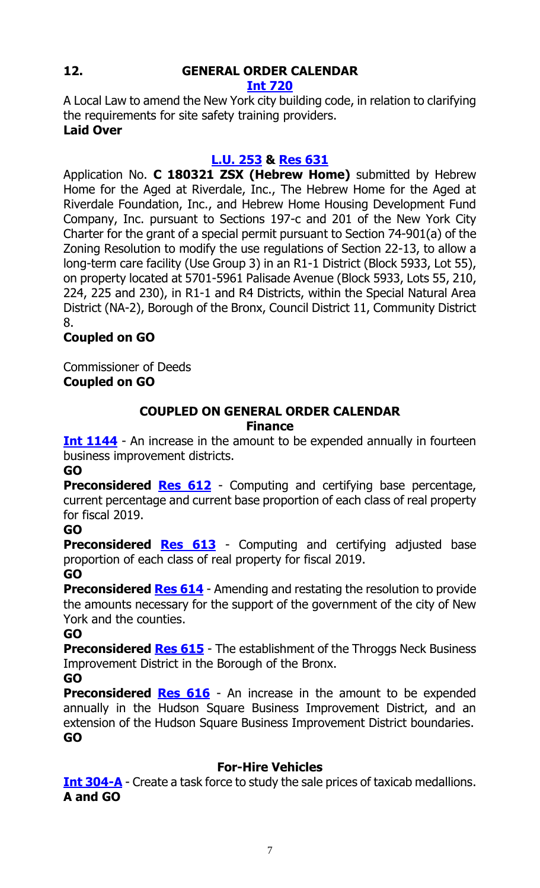# **12. GENERAL ORDER CALENDAR**

# **[Int 720](https://legistar.council.nyc.gov/LegislationDetail.aspx?ID=3364140&GUID=4A00AE92-D940-431A-A3C6-0AA406BC41F1&Options=ID|Text|&Search=0720)**

A Local Law to amend the New York city building code, in relation to clarifying the requirements for site safety training providers. **Laid Over**

# **[L.U. 253](https://legistar.council.nyc.gov/LegislationDetail.aspx?ID=3704390&GUID=52956849-3217-4B44-AB0B-DD3D089A965B&Options=ID%7cText%7c&Search=253) & [Res](https://legistar.council.nyc.gov/LegislationDetail.aspx?ID=3719326&GUID=3663CC74-7244-446A-BD7D-E345AB676C24&Options=ID|&Search=) 631**

Application No. **C 180321 ZSX (Hebrew Home)** submitted by Hebrew Home for the Aged at Riverdale, Inc., The Hebrew Home for the Aged at Riverdale Foundation, Inc., and Hebrew Home Housing Development Fund Company, Inc. pursuant to Sections 197-c and 201 of the New York City Charter for the grant of a special permit pursuant to Section 74-901(a) of the Zoning Resolution to modify the use regulations of Section 22-13, to allow a long-term care facility (Use Group 3) in an R1-1 District (Block 5933, Lot 55), on property located at 5701-5961 Palisade Avenue (Block 5933, Lots 55, 210, 224, 225 and 230), in R1-1 and R4 Districts, within the Special Natural Area District (NA-2), Borough of the Bronx, Council District 11, Community District 8.

# **Coupled on GO**

Commissioner of Deeds **Coupled on GO**

# **COUPLED ON GENERAL ORDER CALENDAR Finance**

**[Int 1144](https://legistar.council.nyc.gov/LegislationDetail.aspx?ID=3704325&GUID=B3CEC137-346D-4EF9-B1D2-8FA391EE0D11&Options=ID%7cText%7c&Search=1144)** - An increase in the amount to be expended annually in fourteen business improvement districts.

**GO**

**Preconsidered [Res](https://legistar.council.nyc.gov/LegislationDetail.aspx?ID=3725357&GUID=28944458-CAA1-440D-99E1-D0396C524CAD&Options=ID|&Search=) 612** - Computing and certifying base percentage, current percentage and current base proportion of each class of real property for fiscal 2019.

# **GO**

**Preconsidered [Res](https://legistar.council.nyc.gov/LegislationDetail.aspx?ID=3725358&GUID=5C4BCFF7-5AAD-4F57-AC01-8082071E6F9A&Options=ID|&Search=) 613** - Computing and certifying adjusted base proportion of each class of real property for fiscal 2019. **GO**

**Preconsidered [Res](https://legistar.council.nyc.gov/LegislationDetail.aspx?ID=3725359&GUID=650B3B80-7161-4818-B155-D78CE341C9A7&Options=ID|&Search=) 614** - Amending and restating the resolution to provide the amounts necessary for the support of the government of the city of New York and the counties.

**GO**

**Preconsidered [Res](https://legistar.council.nyc.gov/LegislationDetail.aspx?ID=3725391&GUID=68F15594-5F54-40A8-B811-F60B007E5F25&Options=ID|&Search=) 615** - The establishment of the Throggs Neck Business Improvement District in the Borough of the Bronx.

# **GO**

**Preconsidered [Res](https://legistar.council.nyc.gov/LegislationDetail.aspx?ID=3725390&GUID=7B10B456-136D-44CD-A9B2-5F45A9F846ED&Options=ID|&Search=) 616** - An increase in the amount to be expended annually in the Hudson Square Business Improvement District, and an extension of the Hudson Square Business Improvement District boundaries. **GO**

# **For-Hire Vehicles**

**<u>[Int 304-A](https://legistar.council.nyc.gov/LegislationDetail.aspx?ID=3332232&GUID=6F016B74-AE6A-4431-9081-95703DD685FF&Options=Advanced&Search=)</u>** - Create a task force to study the sale prices of taxicab medallions. **A and GO**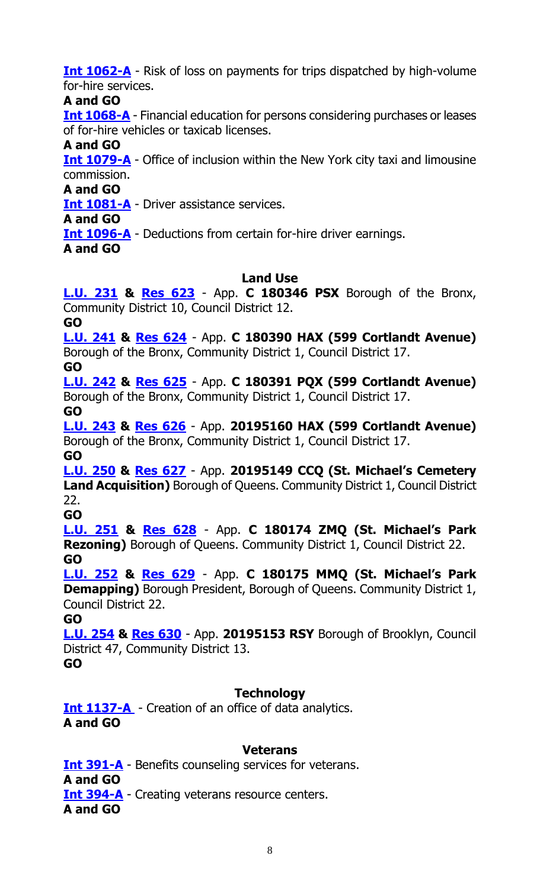**[Int 1062-A](https://legistar.council.nyc.gov/LegislationDetail.aspx?ID=3597665&GUID=8EB5A3E1-9B81-446E-B42B-4212F4903F54&Options=Advanced&Search=)** - Risk of loss on payments for trips dispatched by high-volume for-hire services.

**A and GO**

**[Int 1068-A](https://legistar.council.nyc.gov/LegislationDetail.aspx?ID=3597762&GUID=54A7F213-7AA5-4916-9796-36072EE61A09&Options=Advanced&Search=)** - Financial education for persons considering purchases or leases of for-hire vehicles or taxicab licenses.

**A and GO**

**[Int 1079-A](https://legistar.council.nyc.gov/LegislationDetail.aspx?ID=3597769&GUID=F2D2B75E-E914-4557-A809-EF6EF214A76B&Options=Advanced&Search=)** - Office of inclusion within the New York city taxi and limousine commission.

**A and GO**

**[Int 1081-A](https://legistar.council.nyc.gov/LegislationDetail.aspx?ID=3597767&GUID=131385E4-0F96-47A4-AFA6-F25E95117D38&Options=Advanced&Search=)** - Driver assistance services.

**A and GO**

**[Int 1096-A](https://legistar.council.nyc.gov/LegislationDetail.aspx?ID=3673408&GUID=FA25D4A8-F33D-4FAF-AB12-ECE0F78C9027&Options=Advanced&Search=)** - Deductions from certain for-hire driver earnings.

**A and GO**

# **Land Use**

**[L.U. 231](https://legistar.council.nyc.gov/LegislationDetail.aspx?ID=3685414&GUID=C1D01AAF-29F5-496A-B46E-D69007FFC2C3&Options=Advanced&Search=) & [Res](https://legistar.council.nyc.gov/LegislationDetail.aspx?ID=3719328&GUID=6B463D61-0040-4A5D-8FAA-4693881BEA64&Options=ID|&Search=) 623** - App. **C 180346 PSX** Borough of the Bronx, Community District 10, Council District 12.

**GO**

**[L.U. 241](https://legistar.council.nyc.gov/LegislationDetail.aspx?ID=3704395&GUID=3CE2DA36-9CDE-4D06-84F6-C8A57DA0655F&Options=Advanced&Search=) & [Res](https://legistar.council.nyc.gov/LegislationDetail.aspx?ID=3719293&GUID=8E41CC24-54CF-4585-A961-BADFA46B7F03&Options=ID|&Search=) 624** - App. **C 180390 HAX (599 Cortlandt Avenue)** Borough of the Bronx, Community District 1, Council District 17.

**GO**

**[L.U. 242](https://legistar.council.nyc.gov/LegislationDetail.aspx?ID=3704396&GUID=BF6C3A6A-10FA-4B42-8FB5-3FE5022B71DF&Options=Advanced&Search=) & [Res](https://legistar.council.nyc.gov/LegislationDetail.aspx?ID=3719294&GUID=7DBB36E8-4BF3-4413-BAB4-89F5D4AC6F07&Options=ID|&Search=) 625** - App. **C 180391 PQX (599 Cortlandt Avenue)** Borough of the Bronx, Community District 1, Council District 17. **GO**

**[L.U. 243](https://legistar.council.nyc.gov/LegislationDetail.aspx?ID=3704397&GUID=44111CCB-BEC5-4AD3-8452-900E4381FFB3&Options=Advanced&Search=) & [Res](https://legistar.council.nyc.gov/LegislationDetail.aspx?ID=3719295&GUID=F8D9567A-6225-4DD1-A640-9A3C7C583A88&Options=ID|&Search=) 626** - App. **20195160 HAX (599 Cortlandt Avenue)** Borough of the Bronx, Community District 1, Council District 17. **GO**

**[L.U. 250](https://legistar.council.nyc.gov/LegislationDetail.aspx?ID=3704387&GUID=48FAADEB-3F0E-4670-9528-622FBDD48E9D&Options=Advanced&Search=) & [Res](https://legistar.council.nyc.gov/LegislationDetail.aspx?ID=3719296&GUID=12840F0E-7941-4C53-897B-B3EDA25D3666&Options=ID|&Search=) 627** - App. **20195149 CCQ (St. Michael's Cemetery Land Acquisition)** Borough of Queens. Community District 1, Council District 22.

**GO**

**[L.U. 251](https://legistar.council.nyc.gov/LegislationDetail.aspx?ID=3704388&GUID=5407CFA4-8644-4C9D-9DE0-C20ED4BB7707&Options=Advanced&Search=) & [Res](https://legistar.council.nyc.gov/LegislationDetail.aspx?ID=3719297&GUID=90F14C9F-F520-487B-B5D4-54BEB4151BE6&Options=ID|&Search=) 628** - App. **C 180174 ZMQ (St. Michael's Park Rezoning)** Borough of Queens. Community District 1, Council District 22. **GO**

**[L.U. 252](https://legistar.council.nyc.gov/LegislationDetail.aspx?ID=3704389&GUID=FA4D6986-D609-41C4-AAC5-803490FF0A49&Options=Advanced&Search=) & [Res](https://legistar.council.nyc.gov/LegislationDetail.aspx?ID=3719325&GUID=ADDE9211-D208-4D35-B908-D0401359A518&Options=ID|&Search=) 629** - App. **C 180175 MMQ (St. Michael's Park Demapping)** Borough President, Borough of Queens. Community District 1, Council District 22.

**GO**

**[L.U. 254](https://legistar.council.nyc.gov/LegislationDetail.aspx?ID=3704391&GUID=898C1F2F-9DE1-41F2-B28C-C5DF9BA1202E&Options=Advanced&Search=) & [Res](https://legistar.council.nyc.gov/LegislationDetail.aspx?ID=3719327&GUID=6CAC92B0-8D0D-4A49-9842-1AA377C7B755&Options=ID|&Search=) 630** - App. **20195153 RSY** Borough of Brooklyn, Council District 47, Community District 13.

**GO**

# **Technology**

**[Int 1137-A](https://legistar.council.nyc.gov/LegislationDetail.aspx?ID=3700218&GUID=A6DF2849-07C4-46D1-B1DB-27C69E989808&Options=Advanced&Search=)** - Creation of an office of data analytics. **A and GO**

# **Veterans**

**[Int 391-A](https://legistar.council.nyc.gov/LegislationDetail.aspx?ID=3332147&GUID=21226F82-031E-4408-A0FE-4C554E7268E4&Options=Advanced&Search=)** - Benefits counseling services for veterans. **A and GO Int [394-A](https://legistar.council.nyc.gov/LegislationDetail.aspx?ID=3332196&GUID=F4951EB7-C24C-498E-A060-2D4552849EB7&Options=Advanced&Search=)** - Creating veterans resource centers.

**A and GO**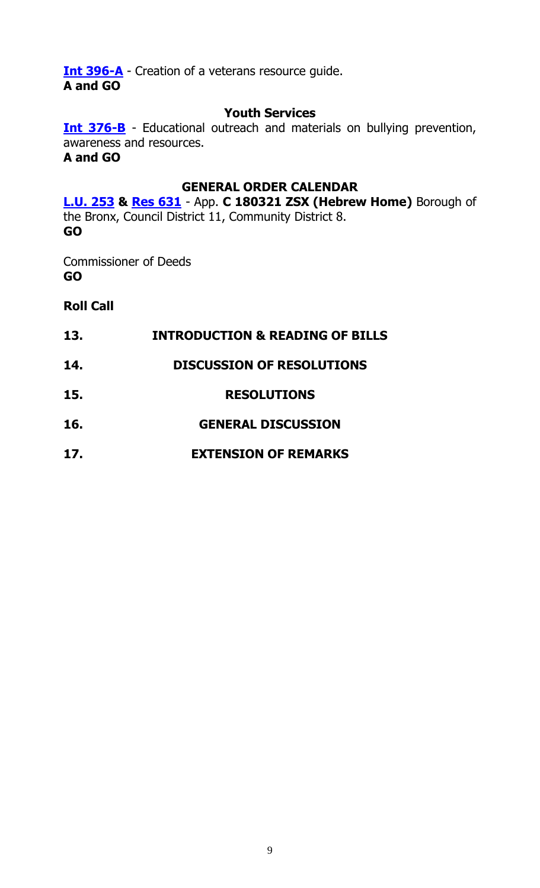**[Int 396-A](https://legistar.council.nyc.gov/LegislationDetail.aspx?ID=3332200&GUID=FF21DB40-40B7-46AD-9BDE-7A057587D2FF&Options=Advanced&Search=)** - Creation of a veterans resource guide. **A and GO**

#### **Youth Services**

**[Int 376-B](https://legistar.council.nyc.gov/LegislationDetail.aspx?ID=3332145&GUID=B46E2C81-DE8E-45B7-8A96-B8E248A710C2&Options=Advanced&Search=)** - Educational outreach and materials on bullying prevention, awareness and resources. **A and GO**

#### **GENERAL ORDER CALENDAR**

**[L.U. 253](https://legistar.council.nyc.gov/LegislationDetail.aspx?ID=3704390&GUID=52956849-3217-4B44-AB0B-DD3D089A965B&Options=ID%7cText%7c&Search=253) & [Res 631](https://legistar.council.nyc.gov/LegislationDetail.aspx?ID=3719326&GUID=3663CC74-7244-446A-BD7D-E345AB676C24&Options=ID|&Search=)** - App. **C 180321 ZSX (Hebrew Home)** Borough of the Bronx, Council District 11, Community District 8. **GO**

Commissioner of Deeds **GO**

**Roll Call**

- **13. INTRODUCTION & READING OF BILLS**
- **14. DISCUSSION OF RESOLUTIONS**
- **15. RESOLUTIONS**
- **16. GENERAL DISCUSSION**
- **17. EXTENSION OF REMARKS**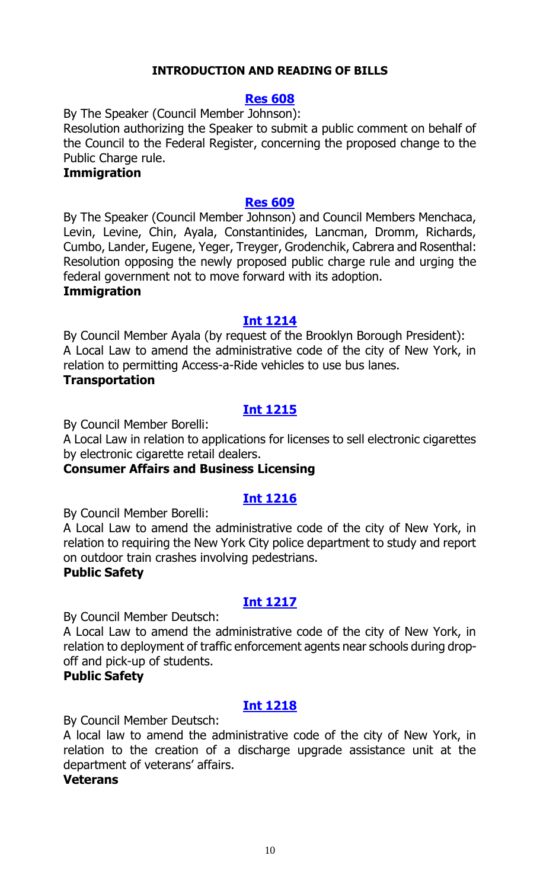# **INTRODUCTION AND READING OF BILLS**

#### **[Res 608](https://legistar.council.nyc.gov/LegislationDetail.aspx?ID=3724273&GUID=2F79F71E-FB47-43BD-A0EB-FB76D0EC3068&Options=ID%7c&Search=)**

By The Speaker (Council Member Johnson): Resolution authorizing the Speaker to submit a public comment on behalf of the Council to the Federal Register, concerning the proposed change to the Public Charge rule.

#### **Immigration**

#### **[Res 609](https://legistar.council.nyc.gov/LegislationDetail.aspx?ID=3727355&GUID=A0891AC1-03CF-4131-A2A5-84B63770522B&Options=ID|&Search=)**

By The Speaker (Council Member Johnson) and Council Members Menchaca, Levin, Levine, Chin, Ayala, Constantinides, Lancman, Dromm, Richards, Cumbo, Lander, Eugene, Yeger, Treyger, Grodenchik, Cabrera and Rosenthal: Resolution opposing the newly proposed public charge rule and urging the federal government not to move forward with its adoption.

#### **Immigration**

#### **[Int 1214](https://legistar.council.nyc.gov/LegislationDetail.aspx?ID=3754228&GUID=2595BC4D-EDBE-4159-94F3-8D934F14134E&Options=ID%7c&Search=)**

By Council Member Ayala (by request of the Brooklyn Borough President): A Local Law to amend the administrative code of the city of New York, in relation to permitting Access-a-Ride vehicles to use bus lanes.

# **Transportation**

# **[Int 1215](https://legistar.council.nyc.gov/LegislationDetail.aspx?ID=3754248&GUID=C98A21D0-1685-4BAE-ADD2-14593B26132D&Options=ID|&Search=)**

By Council Member Borelli:

A Local Law in relation to applications for licenses to sell electronic cigarettes by electronic cigarette retail dealers.

#### **Consumer Affairs and Business Licensing**

# **[Int 1216](https://legistar.council.nyc.gov/LegislationDetail.aspx?ID=3754254&GUID=D33261F0-0E35-490B-A663-DB429B4D4C44&Options=ID|&Search=)**

By Council Member Borelli:

A Local Law to amend the administrative code of the city of New York, in relation to requiring the New York City police department to study and report on outdoor train crashes involving pedestrians.

# **Public Safety**

# **[Int 1217](https://legistar.council.nyc.gov/LegislationDetail.aspx?ID=3728040&GUID=AA732E72-DDAD-4CA5-B2D8-695BB53F7D9B&Options=ID|&Search=)**

By Council Member Deutsch:

A Local Law to amend the administrative code of the city of New York, in relation to deployment of traffic enforcement agents near schools during dropoff and pick-up of students.

#### **Public Safety**

# **[Int 1218](https://legistar.council.nyc.gov/LegislationDetail.aspx?ID=3754101&GUID=52FCB9D2-036E-4FF0-A129-BCA6F502672E&Options=ID|&Search=)**

By Council Member Deutsch:

A local law to amend the administrative code of the city of New York, in relation to the creation of a discharge upgrade assistance unit at the department of veterans' affairs.

#### **Veterans**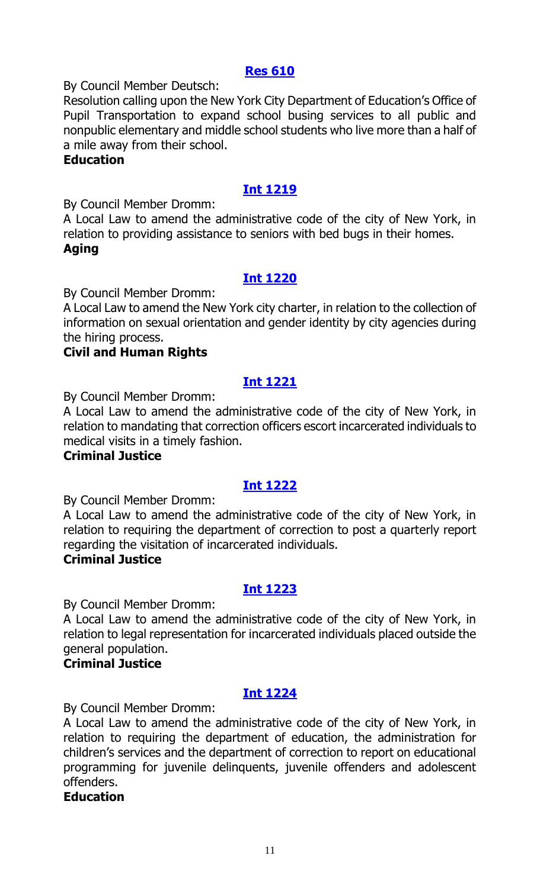# **[Res 610](https://legistar.council.nyc.gov/LegislationDetail.aspx?ID=3754253&GUID=04116347-AD32-49BA-8D08-7E6EBCCC9334&Options=ID|&Search=)**

By Council Member Deutsch:

Resolution calling upon the New York City Department of Education's Office of Pupil Transportation to expand school busing services to all public and nonpublic elementary and middle school students who live more than a half of a mile away from their school.

# **Education**

# **[Int 1219](https://legistar.council.nyc.gov/LegislationDetail.aspx?ID=3754242&GUID=5177A059-2F5A-418A-8745-5CD4D4259724&Options=ID|&Search=)**

By Council Member Dromm:

A Local Law to amend the administrative code of the city of New York, in relation to providing assistance to seniors with bed bugs in their homes. **Aging**

# **[Int 1220](https://legistar.council.nyc.gov/LegislationDetail.aspx?ID=3754250&GUID=EC721E96-5BAC-4A5D-B7BD-D34B4249A3F2&Options=ID|&Search=)**

By Council Member Dromm:

A Local Law to amend the New York city charter, in relation to the collection of information on sexual orientation and gender identity by city agencies during the hiring process.

# **Civil and Human Rights**

# **[Int 1221](https://legistar.council.nyc.gov/LegislationDetail.aspx?ID=3754247&GUID=F3CE005D-F5A4-497F-A6F8-40906F2D3B66&Options=ID|&Search=)**

By Council Member Dromm:

A Local Law to amend the administrative code of the city of New York, in relation to mandating that correction officers escort incarcerated individuals to medical visits in a timely fashion.

# **Criminal Justice**

# **[Int 1222](https://legistar.council.nyc.gov/LegislationDetail.aspx?ID=3754251&GUID=A7DFA330-DC90-4F30-8661-B2F4508E8842&Options=ID|&Search=)**

By Council Member Dromm:

A Local Law to amend the administrative code of the city of New York, in relation to requiring the department of correction to post a quarterly report regarding the visitation of incarcerated individuals.

# **Criminal Justice**

# **[Int 1223](https://legistar.council.nyc.gov/LegislationDetail.aspx?ID=3754252&GUID=6C226366-E1EE-4F8C-9CB7-CC43597A4A5E&Options=ID|&Search=)**

By Council Member Dromm:

A Local Law to amend the administrative code of the city of New York, in relation to legal representation for incarcerated individuals placed outside the general population.

# **Criminal Justice**

# **[Int 1224](https://legistar.council.nyc.gov/LegislationDetail.aspx?ID=3754246&GUID=F17A0DEC-028F-4B99-8DA3-61E5C7B3BCB7&Options=ID|&Search=)**

By Council Member Dromm:

A Local Law to amend the administrative code of the city of New York, in relation to requiring the department of education, the administration for children's services and the department of correction to report on educational programming for juvenile delinquents, juvenile offenders and adolescent offenders.

# **Education**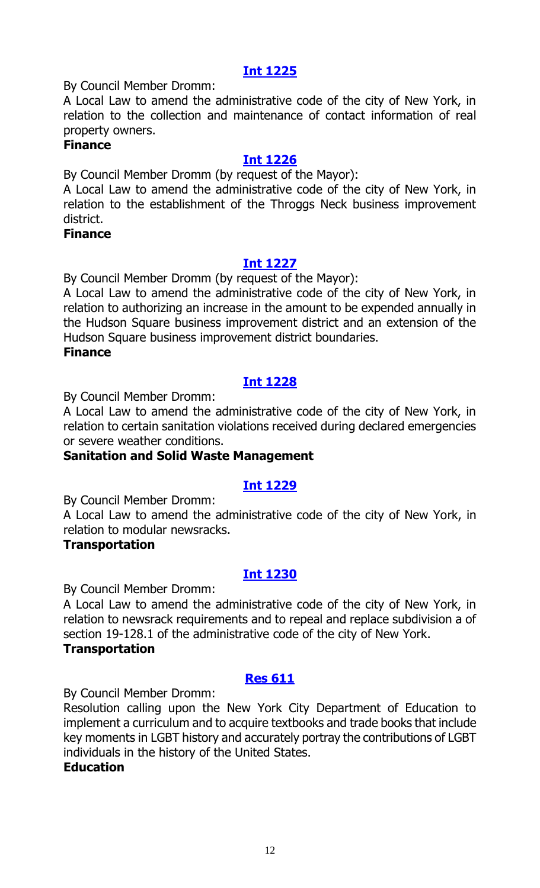# **[Int 1225](https://legistar.council.nyc.gov/LegislationDetail.aspx?ID=3754249&GUID=44FEFFE4-D885-4773-8967-E16C05FF35C0&Options=ID|&Search=)**

By Council Member Dromm:

A Local Law to amend the administrative code of the city of New York, in relation to the collection and maintenance of contact information of real property owners.

#### **Finance**

# **[Int 1226](https://legistar.council.nyc.gov/LegislationDetail.aspx?ID=3726171&GUID=15CFB8CA-034D-4A2E-BAC9-87B7E8717A5B&Options=ID|&Search=)**

By Council Member Dromm (by request of the Mayor):

A Local Law to amend the administrative code of the city of New York, in relation to the establishment of the Throggs Neck business improvement district.

#### **Finance**

# **[Int 1227](https://legistar.council.nyc.gov/LegislationDetail.aspx?ID=3726170&GUID=F824C79C-362D-44FB-9816-37117842C74D&Options=ID|&Search=)**

By Council Member Dromm (by request of the Mayor):

A Local Law to amend the administrative code of the city of New York, in relation to authorizing an increase in the amount to be expended annually in the Hudson Square business improvement district and an extension of the Hudson Square business improvement district boundaries.

**Finance**

# **[Int 1228](https://legistar.council.nyc.gov/LegislationDetail.aspx?ID=3754243&GUID=93F6F3B9-58D0-49BB-ADBC-8D5E28465D11&Options=ID|&Search=)**

By Council Member Dromm:

A Local Law to amend the administrative code of the city of New York, in relation to certain sanitation violations received during declared emergencies or severe weather conditions.

# **Sanitation and Solid Waste Management**

# **[Int 1229](https://legistar.council.nyc.gov/LegislationDetail.aspx?ID=3754244&GUID=A7C14CE8-1BA0-40AA-9656-F439CF7D943A&Options=ID|&Search=)**

By Council Member Dromm:

A Local Law to amend the administrative code of the city of New York, in relation to modular newsracks.

# **Transportation**

# **[Int 1230](https://legistar.council.nyc.gov/LegislationDetail.aspx?ID=3754245&GUID=98F818E6-2218-4184-8D7D-F55AE089B805&Options=ID|&Search=)**

By Council Member Dromm:

A Local Law to amend the administrative code of the city of New York, in relation to newsrack requirements and to repeal and replace subdivision a of section 19-128.1 of the administrative code of the city of New York. **Transportation**

# **[Res 611](https://legistar.council.nyc.gov/LegislationDetail.aspx?ID=3754241&GUID=0F011BF4-CF6D-4314-BE09-82DF5667B9E5&Options=ID|&Search=)**

By Council Member Dromm:

Resolution calling upon the New York City Department of Education to implement a curriculum and to acquire textbooks and trade books that include key moments in LGBT history and accurately portray the contributions of LGBT individuals in the history of the United States.

#### **Education**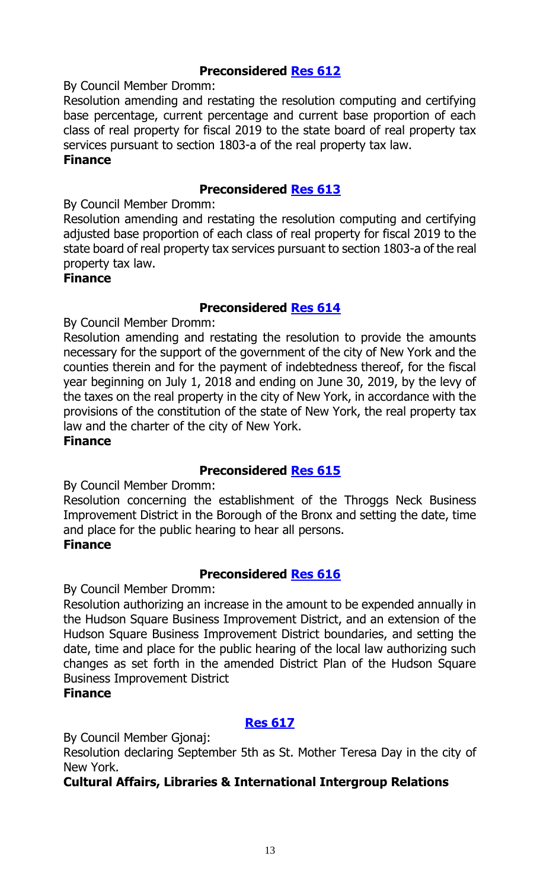# **Preconsidered [Res 612](https://legistar.council.nyc.gov/LegislationDetail.aspx?ID=3725357&GUID=28944458-CAA1-440D-99E1-D0396C524CAD&Options=ID|&Search=)**

By Council Member Dromm:

Resolution amending and restating the resolution computing and certifying base percentage, current percentage and current base proportion of each class of real property for fiscal 2019 to the state board of real property tax services pursuant to section 1803-a of the real property tax law.

#### **Finance**

# **Preconsidered [Res 613](https://legistar.council.nyc.gov/LegislationDetail.aspx?ID=3725358&GUID=5C4BCFF7-5AAD-4F57-AC01-8082071E6F9A&Options=ID|&Search=)**

By Council Member Dromm:

Resolution amending and restating the resolution computing and certifying adjusted base proportion of each class of real property for fiscal 2019 to the state board of real property tax services pursuant to section 1803-a of the real property tax law.

# **Finance**

# **Preconsidered [Res 614](https://legistar.council.nyc.gov/LegislationDetail.aspx?ID=3725359&GUID=650B3B80-7161-4818-B155-D78CE341C9A7&Options=ID|&Search=)**

By Council Member Dromm:

Resolution amending and restating the resolution to provide the amounts necessary for the support of the government of the city of New York and the counties therein and for the payment of indebtedness thereof, for the fiscal year beginning on July 1, 2018 and ending on June 30, 2019, by the levy of the taxes on the real property in the city of New York, in accordance with the provisions of the constitution of the state of New York, the real property tax law and the charter of the city of New York.

#### **Finance**

# **Preconsidered [Res 615](https://legistar.council.nyc.gov/LegislationDetail.aspx?ID=3725391&GUID=68F15594-5F54-40A8-B811-F60B007E5F25&Options=ID|&Search=)**

By Council Member Dromm:

Resolution concerning the establishment of the Throggs Neck Business Improvement District in the Borough of the Bronx and setting the date, time and place for the public hearing to hear all persons.

# **Finance**

# **Preconsidered [Res 616](https://legistar.council.nyc.gov/LegislationDetail.aspx?ID=3725390&GUID=7B10B456-136D-44CD-A9B2-5F45A9F846ED&Options=ID|&Search=)**

By Council Member Dromm:

Resolution authorizing an increase in the amount to be expended annually in the Hudson Square Business Improvement District, and an extension of the Hudson Square Business Improvement District boundaries, and setting the date, time and place for the public hearing of the local law authorizing such changes as set forth in the amended District Plan of the Hudson Square Business Improvement District

# **Finance**

# **[Res 617](https://legistar.council.nyc.gov/LegislationDetail.aspx?ID=3754264&GUID=389CBD98-A777-4FF1-8A5F-67A2EAD85F02&Options=ID|&Search=)**

By Council Member Gjonaj:

Resolution declaring September 5th as St. Mother Teresa Day in the city of New York.

# **Cultural Affairs, Libraries & International Intergroup Relations**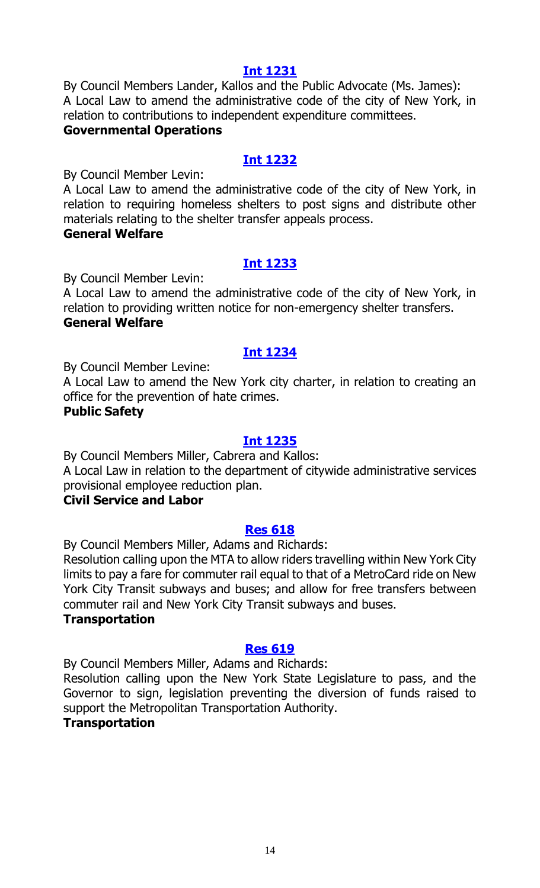#### **[Int 1231](https://legistar.council.nyc.gov/LegislationDetail.aspx?ID=3754266&GUID=FEE06ACF-D2C0-4E02-9D6C-88DBEAE9CAB2&Options=ID|&Search=)**

By Council Members Lander, Kallos and the Public Advocate (Ms. James): A Local Law to amend the administrative code of the city of New York, in relation to contributions to independent expenditure committees. **Governmental Operations**

# **[Int 1232](https://legistar.council.nyc.gov/LegislationDetail.aspx?ID=3754265&GUID=07813CED-5A55-45CA-9E4D-0B64EEEF9072&Options=ID|&Search=)**

By Council Member Levin:

A Local Law to amend the administrative code of the city of New York, in relation to requiring homeless shelters to post signs and distribute other materials relating to the shelter transfer appeals process.

# **General Welfare**

# **[Int 1233](https://legistar.council.nyc.gov/LegislationDetail.aspx?ID=3754263&GUID=F5390D9F-E95E-4FDC-BA02-5AB91E1E72F4&Options=ID|&Search=)**

By Council Member Levin:

A Local Law to amend the administrative code of the city of New York, in relation to providing written notice for non-emergency shelter transfers. **General Welfare**

# **[Int 1234](https://legistar.council.nyc.gov/LegislationDetail.aspx?ID=3727071&GUID=27A907C6-A393-4FCD-9D21-BFC0C2C63404&Options=ID|&Search=)**

By Council Member Levine:

A Local Law to amend the New York city charter, in relation to creating an office for the prevention of hate crimes.

# **Public Safety**

# **[Int 1235](https://legistar.council.nyc.gov/LegislationDetail.aspx?ID=3754267&GUID=9B3A9AAA-59C1-4B0D-9265-25F399EBDD2E&Options=ID|&Search=)**

By Council Members Miller, Cabrera and Kallos: A Local Law in relation to the department of citywide administrative services provisional employee reduction plan.

# **Civil Service and Labor**

# **[Res 618](https://legistar.council.nyc.gov/LegislationDetail.aspx?ID=3754288&GUID=BAC39634-400A-4257-B345-4720FACC6036&Options=ID|&Search=)**

By Council Members Miller, Adams and Richards:

Resolution calling upon the MTA to allow riders travelling within New York City limits to pay a fare for commuter rail equal to that of a MetroCard ride on New York City Transit subways and buses; and allow for free transfers between commuter rail and New York City Transit subways and buses.

#### **Transportation**

# **[Res 619](https://legistar.council.nyc.gov/LegislationDetail.aspx?ID=3754287&GUID=89ED882D-8AA5-44A6-83C2-F4C835D0DF12&Options=ID|&Search=)**

By Council Members Miller, Adams and Richards:

Resolution calling upon the New York State Legislature to pass, and the Governor to sign, legislation preventing the diversion of funds raised to support the Metropolitan Transportation Authority. **Transportation**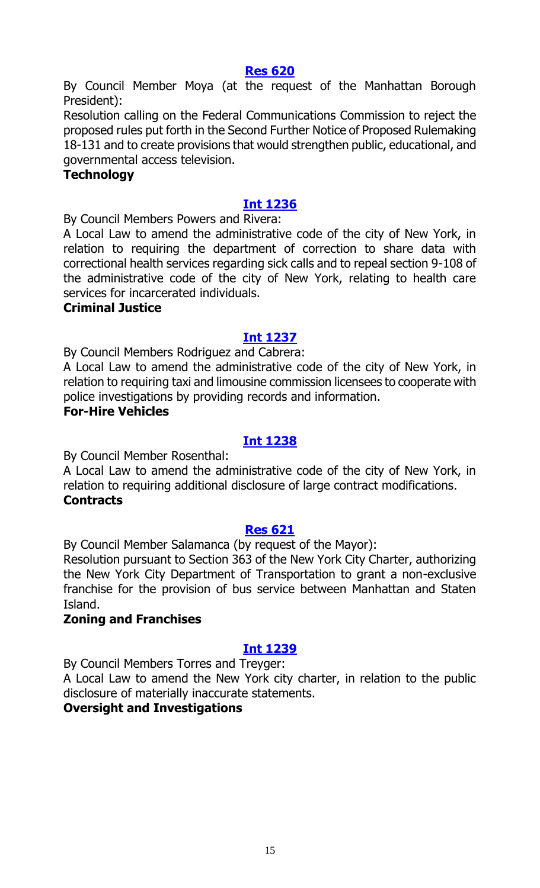#### **[Res 620](https://legistar.council.nyc.gov/LegislationDetail.aspx?ID=3754295&GUID=93BE641F-E090-49C8-AA1B-2A2EDB6CD740&Options=ID|&Search=)**

By Council Member Moya (at the request of the Manhattan Borough President):

Resolution calling on the Federal Communications Commission to reject the proposed rules put forth in the Second Further Notice of Proposed Rulemaking 18-131 and to create provisions that would strengthen public, educational, and governmental access television.

#### **Technology**

# **[Int 1236](https://legistar.council.nyc.gov/LegislationDetail.aspx?ID=3725311&GUID=E78F9DE7-6C09-4C0B-AF25-BE0303CC7B06&Options=ID|&Search=)**

By Council Members Powers and Rivera:

A Local Law to amend the administrative code of the city of New York, in relation to requiring the department of correction to share data with correctional health services regarding sick calls and to repeal section 9-108 of the administrative code of the city of New York, relating to health care services for incarcerated individuals.

# **Criminal Justice**

# **[Int 1237](https://legistar.council.nyc.gov/LegislationDetail.aspx?ID=3754292&GUID=F7A0F768-7ED3-4474-A31C-0D0EAE6520BF&Options=ID|&Search=)**

By Council Members Rodriguez and Cabrera:

A Local Law to amend the administrative code of the city of New York, in relation to requiring taxi and limousine commission licensees to cooperate with police investigations by providing records and information.

# **For-Hire Vehicles**

# **[Int 1238](https://legistar.council.nyc.gov/LegislationDetail.aspx?ID=3754289&GUID=B107FF19-50EC-4E2D-92A6-186A10C62549&Options=ID|&Search=)**

By Council Member Rosenthal:

A Local Law to amend the administrative code of the city of New York, in relation to requiring additional disclosure of large contract modifications. **Contracts**

#### **[Res 621](https://legistar.council.nyc.gov/LegislationDetail.aspx?ID=3754294&GUID=C327210E-E4B1-4680-95BA-CA26801FF79C&Options=ID|&Search=)**

By Council Member Salamanca (by request of the Mayor):

Resolution pursuant to Section 363 of the New York City Charter, authorizing the New York City Department of Transportation to grant a non-exclusive franchise for the provision of bus service between Manhattan and Staten Island.

# **Zoning and Franchises**

# **[Int 1239](https://legistar.council.nyc.gov/LegislationDetail.aspx?ID=3754293&GUID=45F3CD0C-3AE1-4BE0-8175-1A37248B8255&Options=ID|&Search=)**

By Council Members Torres and Treyger:

A Local Law to amend the New York city charter, in relation to the public disclosure of materially inaccurate statements.

# **Oversight and Investigations**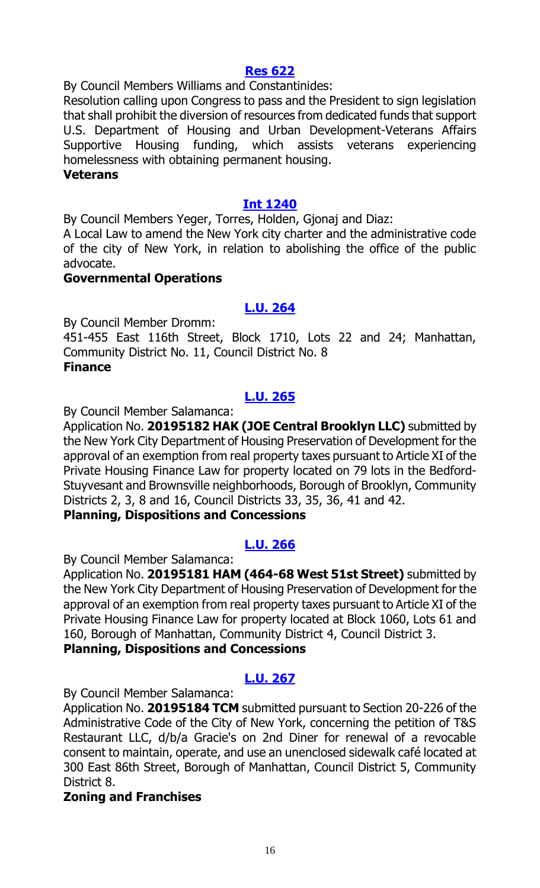# **[Res 622](https://legistar.council.nyc.gov/LegislationDetail.aspx?ID=3754290&GUID=0FEA88A4-0A49-4390-A38C-93CFB99FC314&Options=ID|&Search=)**

By Council Members Williams and Constantinides:

Resolution calling upon Congress to pass and the President to sign legislation that shall prohibit the diversion of resources from dedicated funds that support U.S. Department of Housing and Urban Development-Veterans Affairs Supportive Housing funding, which assists veterans experiencing homelessness with obtaining permanent housing.

#### **Veterans**

# **[Int 1240](https://legistar.council.nyc.gov/LegislationDetail.aspx?ID=3754291&GUID=19695239-7FA6-4331-860F-3CC9174EFB2B&Options=ID|&Search=)**

By Council Members Yeger, Torres, Holden, Gjonaj and Diaz:

A Local Law to amend the New York city charter and the administrative code of the city of New York, in relation to abolishing the office of the public advocate.

#### **Governmental Operations**

# **[L.U. 264](https://legistar.council.nyc.gov/LegislationDetail.aspx?ID=3726172&GUID=7D1768C9-FB5A-4383-8D79-BFAB7995545F&Options=ID|&Search=)**

By Council Member Dromm:

451-455 East 116th Street, Block 1710, Lots 22 and 24; Manhattan, Community District No. 11, Council District No. 8 **Finance**

# **[L.U. 265](https://legistar.council.nyc.gov/LegislationDetail.aspx?ID=3728024&GUID=8789B0E0-E3AC-426F-8A7A-573713CD06D3&Options=ID|&Search=)**

By Council Member Salamanca:

Application No. **20195182 HAK (JOE Central Brooklyn LLC)** submitted by the New York City Department of Housing Preservation of Development for the approval of an exemption from real property taxes pursuant to Article XI of the Private Housing Finance Law for property located on 79 lots in the Bedford-Stuyvesant and Brownsville neighborhoods, Borough of Brooklyn, Community Districts 2, 3, 8 and 16, Council Districts 33, 35, 36, 41 and 42.

# **Planning, Dispositions and Concessions**

# **[L.U. 266](https://legistar.council.nyc.gov/LegislationDetail.aspx?ID=3728025&GUID=0F03531B-F1D5-4C00-B4AA-61625AAAE151&Options=ID|&Search=)**

By Council Member Salamanca:

Application No. **20195181 HAM (464-68 West 51st Street)** submitted by the New York City Department of Housing Preservation of Development for the approval of an exemption from real property taxes pursuant to Article XI of the Private Housing Finance Law for property located at Block 1060, Lots 61 and 160, Borough of Manhattan, Community District 4, Council District 3.

# **Planning, Dispositions and Concessions**

# **[L.U. 267](https://legistar.council.nyc.gov/LegislationDetail.aspx?ID=3728026&GUID=428615A7-8369-400B-99A4-5AC2955CABEA&Options=ID|&Search=)**

By Council Member Salamanca:

Application No. **20195184 TCM** submitted pursuant to Section 20-226 of the Administrative Code of the City of New York, concerning the petition of T&S Restaurant LLC, d/b/a Gracie's on 2nd Diner for renewal of a revocable consent to maintain, operate, and use an unenclosed sidewalk café located at 300 East 86th Street, Borough of Manhattan, Council District 5, Community District 8.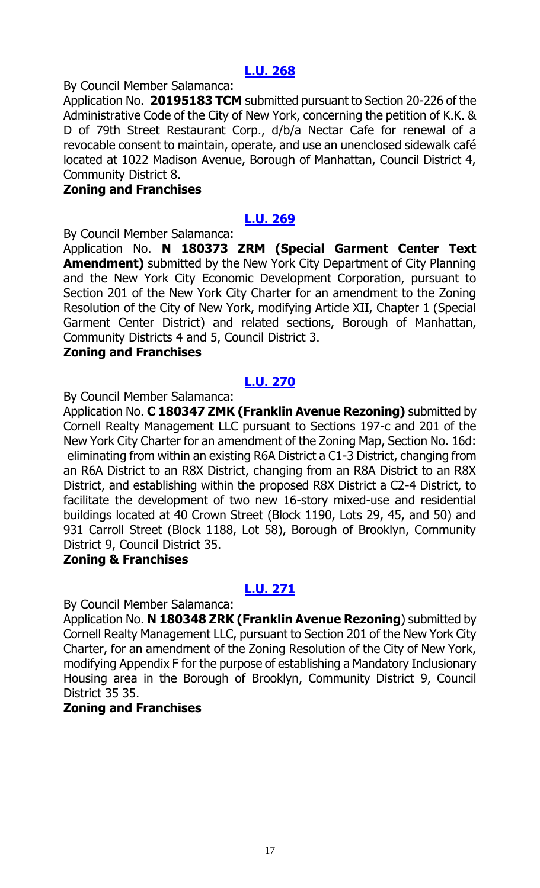# **[L.U. 268](https://legistar.council.nyc.gov/LegislationDetail.aspx?ID=3728027&GUID=BF785DB2-0BB8-4A95-B38C-50BA48F20BA7&Options=ID|&Search=)**

By Council Member Salamanca:

Application No. **20195183 TCM** submitted pursuant to Section 20-226 of the Administrative Code of the City of New York, concerning the petition of K.K. & D of 79th Street Restaurant Corp., d/b/a Nectar Cafe for renewal of a revocable consent to maintain, operate, and use an unenclosed sidewalk café located at 1022 Madison Avenue, Borough of Manhattan, Council District 4, Community District 8.

#### **Zoning and Franchises**

#### **[L.U. 269](https://legistar.council.nyc.gov/LegislationDetail.aspx?ID=3728028&GUID=406C3416-DBE6-482F-A120-6145E8C19B32&Options=ID|&Search=)**

By Council Member Salamanca:

Application No. **N 180373 ZRM (Special Garment Center Text Amendment)** submitted by the New York City Department of City Planning and the New York City Economic Development Corporation, pursuant to Section 201 of the New York City Charter for an amendment to the Zoning Resolution of the City of New York, modifying Article XII, Chapter 1 (Special Garment Center District) and related sections, Borough of Manhattan, Community Districts 4 and 5, Council District 3.

#### **Zoning and Franchises**

# **[L.U. 270](https://legistar.council.nyc.gov/LegislationDetail.aspx?ID=3728029&GUID=B81AB0D4-CAC4-45C4-A9D9-211A13554E60&Options=ID|&Search=)**

By Council Member Salamanca:

Application No. **C 180347 ZMK (Franklin Avenue Rezoning)** submitted by Cornell Realty Management LLC pursuant to Sections 197-c and 201 of the New York City Charter for an amendment of the Zoning Map, Section No. 16d: eliminating from within an existing R6A District a C1-3 District, changing from an R6A District to an R8X District, changing from an R8A District to an R8X District, and establishing within the proposed R8X District a C2-4 District, to facilitate the development of two new 16-story mixed-use and residential buildings located at 40 Crown Street (Block 1190, Lots 29, 45, and 50) and 931 Carroll Street (Block 1188, Lot 58), Borough of Brooklyn, Community District 9, Council District 35.

# **Zoning & Franchises**

# **[L.U. 271](https://legistar.council.nyc.gov/LegislationDetail.aspx?ID=3728030&GUID=E16AEB4A-8E9D-4717-B910-91ABDD0E36AC&Options=ID|&Search=)**

By Council Member Salamanca:

Application No. **N 180348 ZRK (Franklin Avenue Rezoning**) submitted by Cornell Realty Management LLC, pursuant to Section 201 of the New York City Charter, for an amendment of the Zoning Resolution of the City of New York, modifying Appendix F for the purpose of establishing a Mandatory Inclusionary Housing area in the Borough of Brooklyn, Community District 9, Council District 35 35.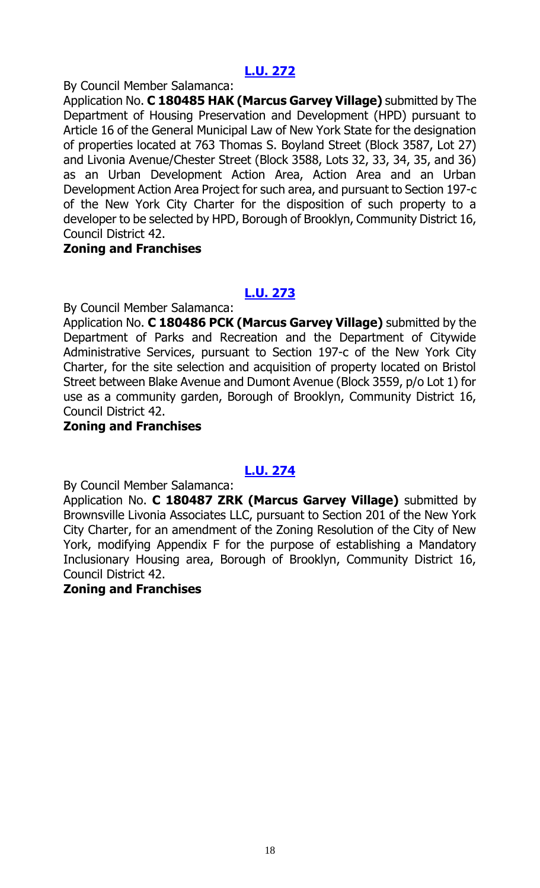# **[L.U. 272](https://legistar.council.nyc.gov/LegislationDetail.aspx?ID=3728031&GUID=7CE252C8-74E0-47E5-B944-F0A02AED2E51&Options=ID|&Search=)**

By Council Member Salamanca:

Application No. **C 180485 HAK (Marcus Garvey Village)** submitted by The Department of Housing Preservation and Development (HPD) pursuant to Article 16 of the General Municipal Law of New York State for the designation of properties located at 763 Thomas S. Boyland Street (Block 3587, Lot 27) and Livonia Avenue/Chester Street (Block 3588, Lots 32, 33, 34, 35, and 36) as an Urban Development Action Area, Action Area and an Urban Development Action Area Project for such area, and pursuant to Section 197-c of the New York City Charter for the disposition of such property to a developer to be selected by HPD, Borough of Brooklyn, Community District 16, Council District 42.

# **Zoning and Franchises**

# **[L.U. 273](https://legistar.council.nyc.gov/LegislationDetail.aspx?ID=3728032&GUID=8DF41344-08D9-4D2E-8646-5517269A3292&Options=ID|&Search=)**

By Council Member Salamanca:

Application No. **C 180486 PCK (Marcus Garvey Village)** submitted by the Department of Parks and Recreation and the Department of Citywide Administrative Services, pursuant to Section 197-c of the New York City Charter, for the site selection and acquisition of property located on Bristol Street between Blake Avenue and Dumont Avenue (Block 3559, p/o Lot 1) for use as a community garden, Borough of Brooklyn, Community District 16, Council District 42.

# **Zoning and Franchises**

# **[L.U. 274](https://legistar.council.nyc.gov/LegislationDetail.aspx?ID=3728033&GUID=2CA02C5F-6789-4C6B-A4ED-D400FDA77123&Options=ID|&Search=)**

By Council Member Salamanca:

Application No. **C 180487 ZRK (Marcus Garvey Village)** submitted by Brownsville Livonia Associates LLC, pursuant to Section 201 of the New York City Charter, for an amendment of the Zoning Resolution of the City of New York, modifying Appendix F for the purpose of establishing a Mandatory Inclusionary Housing area, Borough of Brooklyn, Community District 16, Council District 42.